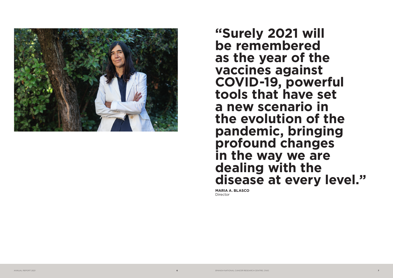

**"Surely 2021 will be remembered as the year of the vaccines against COVID-19, powerful tools that have set a new scenario in the evolution of the pandemic, bringing profound changes in the way we are dealing with the disease at every level."**

**MARIA A. BLASCO** Director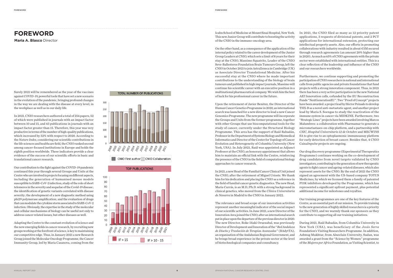Surely 2021 will be remembered as the year of the vaccines against COVID-19, powerful tools that have set a new scenario in the evolution of the pandemic, bringing profound changes in the way we are dealing with the disease at every level, in the workplace as well as in our daily life.

In 2021, CNIO researchers authored a total of 254 papers, 52 of which were published in journals with an impact factor between 10 and 15, and 43 publications in journals with an impact factor greater than 15. Therefore, this year was very productive in terms of the number of high-quality publications, which increased by 32% with respect to 2020. According to the *Nature Index,* considering our scientific contributions in the life sciences and healthcare field, the CNIO ranked second among cancer-focused institutions in Europe and holds the eighth position worldwide. These indicators provide a clear evidence of the success of our scientific efforts in basic and translational cancer research.

Our contribution to the fight against the COVID-19 pandemic continued this year through several Groups and Units at the Centre who are involved in projects focusing on different aspects, including the generation of humanised mouse models susceptible to SARS-CoV-2 infection; study of the role of short telomeres in the severity and sequelae of the Covid-19 disease ; the identification of genetic variants correlated with disease severity; the development of a new diagnostic method using phi29 polymerase amplification ; and the evaluation of drugs that can modulate the cytokine storm associated to SARS-CoV-2 infection. Obviously, the expertise in the study of the molecular and cellular mechanisms of biology can be useful not only to address cancer related issues, but other diseases as well.

Adapting the Centre to the constant evolution of science and the new emerging fields in cancer research, by recruiting new groups working at the forefront of science, is key to maintaining our competitive edge. Thus, in January 2021 a new Research Group joined the Molecular Oncology Programme, the Cancer Immunity Group, led by Maria Casanova, coming from the **TOTAL NUMBER OF PUBLICATIONS** 



Icahn School of Medicine at Mount Sinai Hospital, New York. This new Junior Group will contribute to boosting the activity of the CNIO in the immuno-oncology area.

On the other hand, as a consequence of the application of the internal policy related to the career development of the Junior Group Leaders at CNIO, which sets a limit of 8 years for their stay at the CNIO, Massimo Squatrito, Leader of the CNIO Seve-Ballesteros Foundation Brain Tumours Group, left the CNIO in October 2021 to join AstraZeneca in Cambridge ( UK ) as Associate Director Translational Medicine. After his successful stay at the CNIO where he made important contributions to the understanding of the biology of brain tumours and published in high impact journals, Massimo will continue his scientific career with an executive position in a multinational pharmaceutical company. We wish him the best of luck for his professional career in the future.

Upon the retirement of Javier Benitez, the Director of the Human Cancer Genetics Programme in 2020, an international search was launched for a new director to lead a new Cancer Genomics Programme. The new programme will incorporate the Groups and Units from the former programme, together with other Groups that use biocomputational tools for the study of cancer, currently under the Structural Biology Programme. This area has the support of Raúl Rabadán, Professor in the Department of Systems Biology and Biomedical Informatics and Director of the Center for Topology of Cancer Evolution and Heterogeneity of Columbia University ( New York, USA ). In July 2021, Raúl was appointed as Adjunct Professor at the CNIO, an honorary appointment that allows him to maintain an official link with the Centre, reinforcing the presence of the CNIO in the field of computational biology approaches to cancer research.

In 2021, a new Head of the Familial Cancer Clinical Unit joined the CNIO, after the retirement of Miguel Urioste. We thank him for his dedication and placing the CNIO as a reference in the field of familial cancer genetic diagnostics. The new Head, Maria Currás, is an M.D./Ph.D. with a strong background in clinical genetics, who moved from the *Clínica Universitaria de Navarra* in Madrid to the CNIO in January 2022.

The relevance and broad scope of our innovation activities represent another meaningful indicator of the social impact of our scientific activities. In June 2021, a new Director of the Innovation Area joined the CNIO, after an international search put in place upon the departure of the previous director in 2020. The new Director, Roke Iñaki Oruezabal, was previously Director of Development and Innovation of the "*Red Andaluza de Diseño y Traslación de Terapias Avanzadas*" ( RAdytTA ), an organisation of the Andalusian Regional Government, and he brings broad experience in the private sector at the level of biotechnological companies and consultancy.

In 2021, the CNIO filed as many as 12 priority patent applications, 3 requests of divisional patents, and 2 PCT applications for international extension, protecting our intellectual property assets. Also, our efforts in promoting collaborations with industry resulted in about €3M secured through research agreements ( an amount 20% higher than in 2020 ). As much as 65% of CNIO agreements with the private sector were established with international entities. This is a clear reflection of the leadership and influence of the CNIO and our researchers worldwide.

Furthermore, we continue supporting and promoting the participation of CNIO researchers in national and international calls from public agencies and private foundations that fund projects with a strong innovation component. Thus, in 2021 there has been a very active participation in the new National *AEI* Innovation calls, cofunded by the EU Reconstruction Funds "NextGenerationEU". Two "Proof of Concept" projects have been awarded : a project lead by Héctor Peinado to develop THX-B as a novel anti-metastatic agent, and another project lead by Maria S. Soengas to study the reactivation of the immune system in cancer via MIDKINE. Furthermore, two " Strategic Lines " projects have been awarded involving Marcos Malumbres: a collaboration with Pharmamar to generate a micrometastases-on-chip platform, and a partnership with *CSIC*, *Hospital Universitario 12 de Octubre* and MECWINS SA to give rise to an optoplasmonic immunoassay platform for early detection of breast cancer. Besides that, 4 CNIO Caixa*Impulse* projects are ongoing.

Our drug discovery programme ( Experimental Therapeutics Programme ) continues working on the co-development of drug candidates from novel targets validated by CNIO investigators, contributing to the generation of new therapeutic agents to fight cancer and ageing-related diseases, which also represent assets for the CNIO. By the end of 2021 the CNIO signed an agreement with the US-based company TOTUS Medicines, by which we licensed them a family of patented PI3K inhibitors developed by the Programme, which has represented a significant upfront payment, plus potential additional income for milestones and royalties.

Our training programmes are one of the key features of the Centre, as an essential part of our mission. To provide training to the new generation of highly skilled researchers is a priority for the CNIO, and we warmly thank our sponsors as they contribute to supporting all our training initiatives.

During 2021, Raúl Rabadán, from Columbia University in New York ( USA ), was beneficiary of the *Jesús Serra* Foundation's Visiting Researchers Programme. In addition, Ashwag Mukhtar, from Alneelain University, Sudan, was awarded a grant from the " Science by Women " programme of the *Mujeres por Africa* Foundation, as Visiting Scientist, to

**Maria A. Blasco** Director

## **FOREWORD**